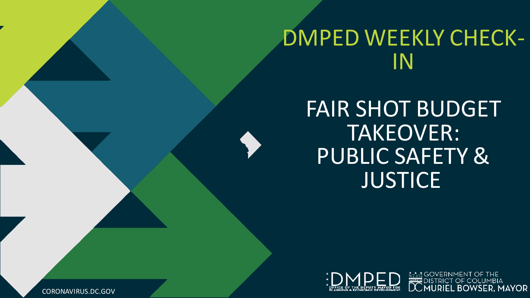# DMPED WEEKLY CHECK-IN

FAIR SHOT BUDGET TAKEOVER: PUBLIC SAFETY & **JUSTICE** 



CORONAVIRUS.DC.GOV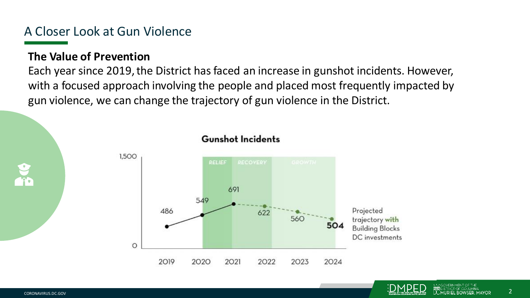# A Closer Look at Gun Violence

## **The Value of Prevention**

Each year since 2019, the District has faced an increase in gunshot incidents. However, with a focused approach involving the people and placed most frequently impacted by gun violence, we can change the trajectory of gun violence in the District.



### **Gunshot Incidents**

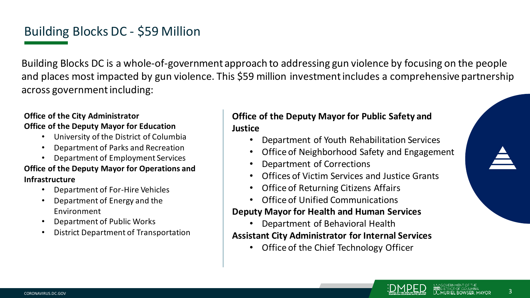# Building Blocks DC - \$59 Million

Building Blocks DC is a whole-of-government approach to addressing gun violence by focusing on the people and places most impacted by gun violence. This \$59 million investment includes a comprehensive partnership across government including:

### **Office of the City Administrator Office of the Deputy Mayor for Education**

- University of the District of Columbia
- Department of Parks and Recreation
- Department of Employment Services

### **Office of the Deputy Mayor for Operations and Infrastructure**

- Department of For-Hire Vehicles
- Department of Energy and the Environment
- Department of Public Works
- District Department of Transportation

### **Office of the Deputy Mayor for Public Safety and Justice**

- Department of Youth Rehabilitation Services
- Office of Neighborhood Safety and Engagement
- Department of Corrections
- Offices of Victim Services and Justice Grants
- Office of Returning Citizens Affairs
- Office of Unified Communications

### **Deputy Mayor for Health and Human Services**

• Department of Behavioral Health

### **Assistant City Administrator for Internal Services**

• Office of the Chief Technology Officer

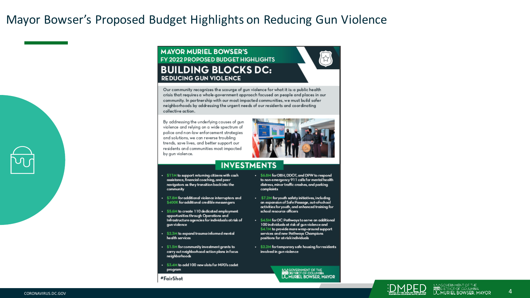## Mayor Bowser's Proposed Budget Highlights on Reducing Gun Violence

### **MAYOR MURIEL BOWSER'S FY 2022 PROPOSED BUDGET HIGHLIGHTS BUILDING BLOCKS DC: REDUCING GUN VIOLENCE**



Our community recognizes the scourge of gun violence for what it is: a public health crisis that requires a whole-government approach focused on people and places in our community. In partnership with our most impacted communities, we must build safer neighborhoods by addressing the urgent needs of our residents and coordinating collective action.

By addressing the underlying causes of gun violence and relying on a wide spectrum of police and non-law enforcement strategies and solutions, we can reverse troubling trends, save lives, and better support our residents and communities most impacted by gun violence.



### **INVESTMENTS**

- . \$11M to support returning citizens with cash assistance, financial coaching, and peer navigators as they transition back into the community
- · \$7.8M for additional violence interrupters and \$400K for additional credible messengers
- . \$5.6M to create 110 dedicated employment opportunities through Operations and Infrastructure agencies for individuals at risk of gun violence
- $\cdot$  \$2.3M to expand trauma-informed mental health services
- . \$1.5M for community investment grants to carry out neighborhood action plans in focus neighborhoods
- . \$3.4M to add 100 new slots for MPD's cadet program
- #FairShot
- . \$6.8M for DBH, DDOT, and DPW to respond to non-emergency 911 calls for mental health distress, minor traffic crashes, and parking complaints
- $\cdot$  \$7.2M for youth safety initiatives, including an expansion of Safe Passage, out-of-school activities for youth, and enhanced training for school resource officers
- . \$4.5M for DC Pathways to serve an additional 100 individuals at risk of gun violence and \$4.1M to provide more wrap-around support services and new Pathways Champions positions for at-riskindividuals
- . \$2.2M for temporary safe housing for residents involved in gun violence

A MOVERNMENT OF THE STATISTICS OF COLUMBIA<br>DIGITRICT OF COLUMBIA<br>DO MURIEL BOWSER, MAYOR



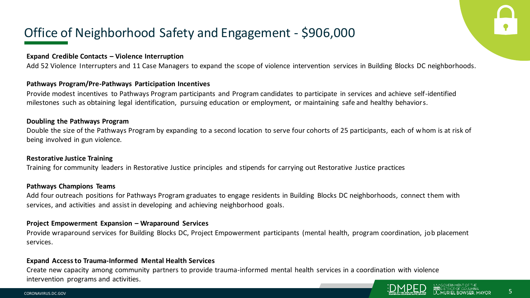# Office of Neighborhood Safety and Engagement - \$906,000

#### **Expand Credible Contacts – Violence Interruption**

Add 52 Violence Interrupters and 11 Case Managers to expand the scope of violence intervention services in Building Blocks DC neighborhoods.

### **Pathways Program/Pre-Pathways Participation Incentives**

Provide modest incentives to Pathways Program participants and Program candidates to participate in services and achieve self-identified milestones such as obtaining legal identification, pursuing education or employment, or maintaining safe and healthy behaviors.

#### **Doubling the Pathways Program**

Double the size of the Pathways Program by expanding to a second location to serve four cohorts of 25 participants, each of whom is at risk of being involved in gun violence.

#### **Restorative Justice Training**

Training for community leaders in Restorative Justice principles and stipends for carrying out Restorative Justice practices

#### **Pathways Champions Teams**

Add four outreach positions for Pathways Program graduates to engage residents in Building Blocks DC neighborhoods, connect them with services, and activities and assist in developing and achieving neighborhood goals.

#### **Project Empowerment Expansion – Wraparound Services**

Provide wraparound services for Building Blocks DC, Project Empowerment participants (mental health, program coordination, job placement services.

#### **Expand Access to Trauma-Informed Mental Health Services**

Create new capacity among community partners to provide trauma-informed mental health services in a coordination with violence intervention programs and activities.

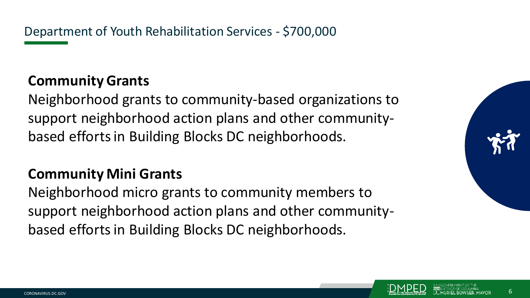Department of Youth Rehabilitation Services - \$700,000

# **Community Grants**

Neighborhood grants to community-based organizations to support neighborhood action plans and other communitybased efforts in Building Blocks DC neighborhoods.

# **Community Mini Grants**

Neighborhood micro grants to community members to support neighborhood action plans and other communitybased efforts in Building Blocks DC neighborhoods.